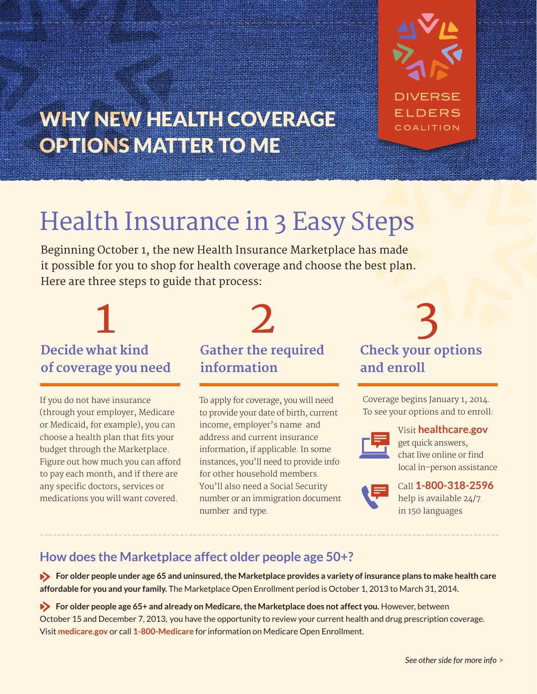

## WHY NEW HEALTH COVERAGE OPTIONS MATTER TO ME

# Health Insurance in 3 Easy Steps

Beginning October 1, the new Health Insurance Marketplace has made it possible for you to shop for health coverage and choose the best plan. Here are three steps to guide that process:

## **Decide what kind of coverage you need**

If you do not have insurance (through your employer, Medicare or Medicaid, for example), you can choose a health plan that fits your budget through the Marketplace. Figure out how much you can afford to pay each month, and if there are any specific doctors, services or medications you will want covered.

### **Gather the required information**

To apply for coverage, you will need to provide your date of birth, current income, employer's name and address and current insurance information, if applicable. In some instances, you'll need to provide info for other household members. You'll also need a Social Security number or an immigration document number and type.

### **Check your options and enroll**  1 2 3

Coverage begins January 1, 2014. To see your options and to enroll:



#### Visit **healthcare.gov**

get quick answers, chat live online or find local in-person assistance

Call **1-800-318-2596** help is available 24/7 in 150 languages

#### **How does the Marketplace affect older people age 50+?**

 **For older people under age 65 and uninsured, the Marketplace provides a variety of insurance plans to make health care affordable for you and your family.** The Marketplace Open Enrollment period is October 1, 2013 to March 31, 2014.

**For older people age 65+ and already on Medicare, the Marketplace does not affect you. However, between** October 15 and December 7, 2013, you have the opportunity to review your current health and drug prescription coverage. Visit **medicare.gov** or call **1-800-Medicare** for information on Medicare Open Enrollment.